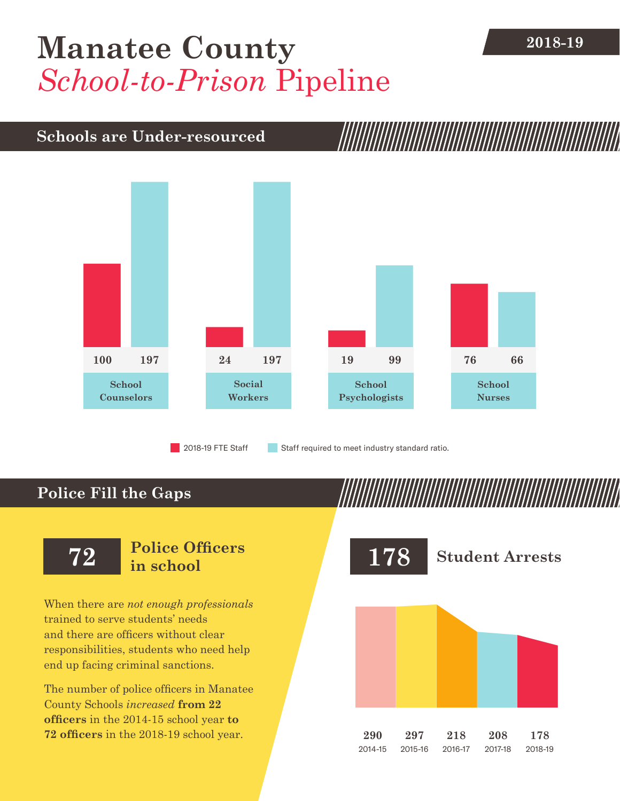## **[Manatee County](DBF_County)** 2018-19 *School-to-Prison* Pipeline

## **Schools are Under-resourced**



## **Police Fill the Gaps**

When there are *not enough professionals* trained to serve students' needs and there are officers without clear responsibilities, students who need help end up facing criminal sanctions.

The number of police officers in [Manatee](DBF_County)  [County](DBF_County) Schools *increased* **from [22](DBF_PO1415)  officers** in the 2014-15 school year **to [72](DBF_PO) officers** in the 2018-19 school year.